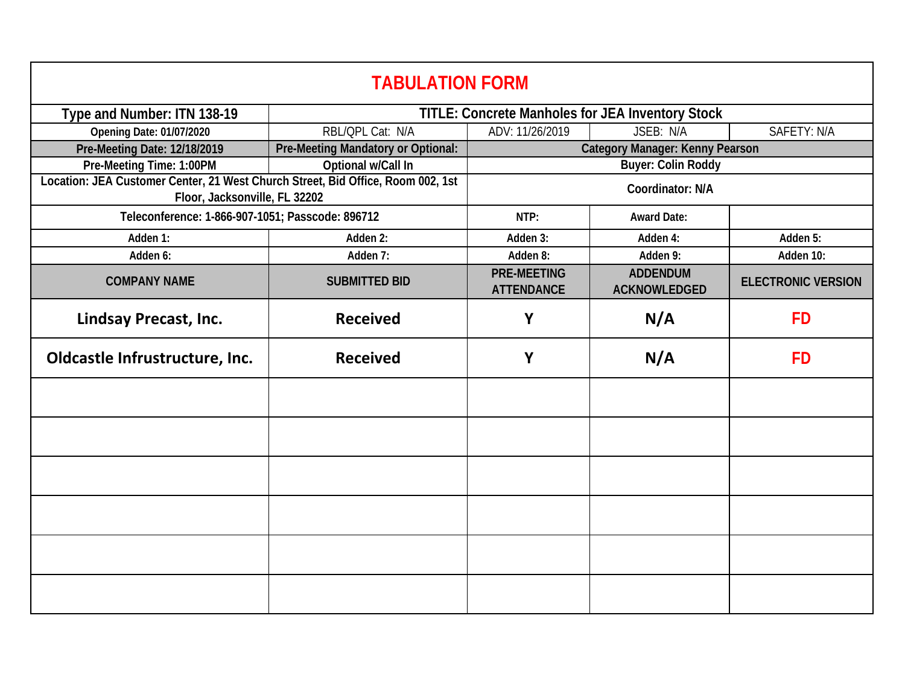| <b>TABULATION FORM</b>                                                                                           |                                                         |                                         |                                 |                           |  |  |  |
|------------------------------------------------------------------------------------------------------------------|---------------------------------------------------------|-----------------------------------------|---------------------------------|---------------------------|--|--|--|
| Type and Number: ITN 138-19                                                                                      | <b>TITLE: Concrete Manholes for JEA Inventory Stock</b> |                                         |                                 |                           |  |  |  |
| <b>Opening Date: 01/07/2020</b>                                                                                  | RBL/QPL Cat: N/A                                        | ADV: 11/26/2019                         | JSEB: N/A                       | SAFETY: N/A               |  |  |  |
| Pre-Meeting Date: 12/18/2019                                                                                     | Pre-Meeting Mandatory or Optional:                      | Category Manager: Kenny Pearson         |                                 |                           |  |  |  |
| Pre-Meeting Time: 1:00PM                                                                                         | Optional w/Call In                                      | <b>Buyer: Colin Roddy</b>               |                                 |                           |  |  |  |
| Location: JEA Customer Center, 21 West Church Street, Bid Office, Room 002, 1st<br>Floor, Jacksonville, FL 32202 |                                                         | Coordinator: N/A                        |                                 |                           |  |  |  |
| Teleconference: 1-866-907-1051; Passcode: 896712                                                                 |                                                         | NTP:                                    | <b>Award Date:</b>              |                           |  |  |  |
| Adden 1:                                                                                                         | Adden 2:                                                | Adden 3:                                | Adden 4:                        | Adden 5:                  |  |  |  |
| Adden 6:                                                                                                         | Adden 7:                                                | Adden 8:                                | Adden 9:                        | Adden 10:                 |  |  |  |
| <b>COMPANY NAME</b>                                                                                              | <b>SUBMITTED BID</b>                                    | <b>PRE-MEETING</b><br><b>ATTENDANCE</b> | <b>ADDENDUM</b><br>ACKNOWLEDGED | <b>ELECTRONIC VERSION</b> |  |  |  |
| Lindsay Precast, Inc.                                                                                            | <b>Received</b>                                         | Y                                       | N/A                             | <b>FD</b>                 |  |  |  |
| Oldcastle Infrustructure, Inc.                                                                                   | <b>Received</b>                                         | Y                                       | N/A                             | <b>FD</b>                 |  |  |  |
|                                                                                                                  |                                                         |                                         |                                 |                           |  |  |  |
|                                                                                                                  |                                                         |                                         |                                 |                           |  |  |  |
|                                                                                                                  |                                                         |                                         |                                 |                           |  |  |  |
|                                                                                                                  |                                                         |                                         |                                 |                           |  |  |  |
|                                                                                                                  |                                                         |                                         |                                 |                           |  |  |  |
|                                                                                                                  |                                                         |                                         |                                 |                           |  |  |  |